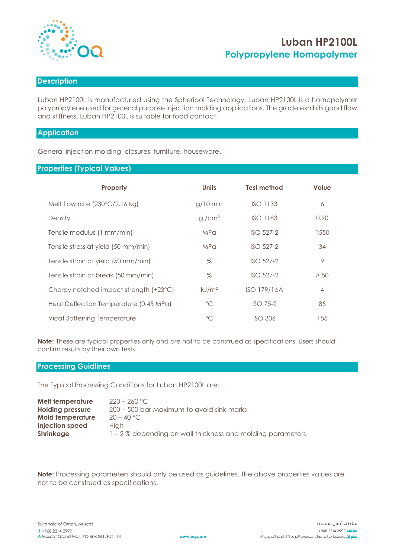

# **Luban HP2100L Polypropylene Homopolymer**

# **Description**

Luban HP2100L is manufactured using the Spheripol Technology. Luban HP2100L is a homopolymer polypropylene used for general purpose injection molding applications. The grade exhibits good flow and stiffness. Luban HP2100L is suitable for food contact.

## **Application**

General injection molding, closures, furniture, houseware.

# **Properties (Typical Values)**

| Property                                | <b>Units</b>      | <b>Test method</b> | Value          |
|-----------------------------------------|-------------------|--------------------|----------------|
| Melt flow rate $(230^{\circ}C/2.16$ kg) | $g/10$ min        | <b>ISO 1133</b>    | 6              |
| Density                                 | g/cm <sup>3</sup> | <b>ISO 1183</b>    | 0.90           |
| Tensile modulus (1 mm/min)              | <b>MPa</b>        | $ISO$ 527-2        | 1550           |
| Tensile stress at yield (50 mm/min)     | <b>MPa</b>        | $ISO$ 527-2        | 34             |
| Tensile strain at yield (50 mm/min)     | $\%$              | ISO 527-2          | 9              |
| Tensile strain at break (50 mm/min)     | %                 | $ISO$ 527-2        | > 50           |
| Charpy notched impact strength (+23°C)  | kJ/m <sup>2</sup> | <b>ISO 179/1eA</b> | $\overline{4}$ |
| Heat Deflection Temperature (0.45 MPa)  | $^{\circ}$ C      | $ISO$ 75-2         | 85             |
| Vicat Softening Temperature             | $^{\circ}C$       | <b>ISO 306</b>     | 155            |

**Note:** These are typical properties only and are not to be construed as specifications. Users should confirm results by their own tests.

#### **Processing Guidlines**

The Typical Processing Conditions for Luban HP2100L are:

| Melt temperature        | $220 - 260$ °C.                                           |
|-------------------------|-----------------------------------------------------------|
| <b>Holding pressure</b> | 200 – 500 bar Maximum to avoid sink marks                 |
| <b>Mold temperature</b> | $20 - 40 °C$                                              |
| Injection speed         | Hiah                                                      |
| <b>Shrinkage</b>        | 1 – 2% depending on wall thickness and molding parameters |

**Note:** Processing parameters should only be used as guidelines. The above properties values are not to be construed as specifications.